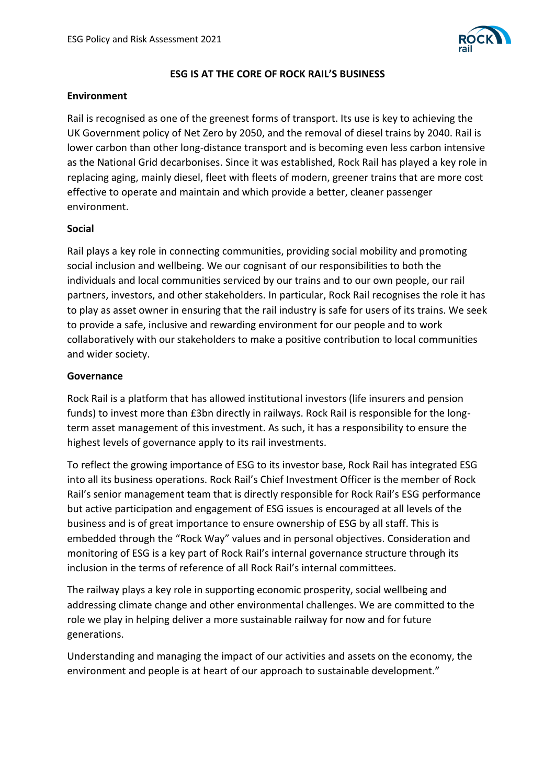

### **ESG IS AT THE CORE OF ROCK RAIL'S BUSINESS**

### **Environment**

Rail is recognised as one of the greenest forms of transport. Its use is key to achieving the UK Government policy of Net Zero by 2050, and the removal of diesel trains by 2040. Rail is lower carbon than other long-distance transport and is becoming even less carbon intensive as the National Grid decarbonises. Since it was established, Rock Rail has played a key role in replacing aging, mainly diesel, fleet with fleets of modern, greener trains that are more cost effective to operate and maintain and which provide a better, cleaner passenger environment.

# **Social**

Rail plays a key role in connecting communities, providing social mobility and promoting social inclusion and wellbeing. We our cognisant of our responsibilities to both the individuals and local communities serviced by our trains and to our own people, our rail partners, investors, and other stakeholders. In particular, Rock Rail recognises the role it has to play as asset owner in ensuring that the rail industry is safe for users of its trains. We seek to provide a safe, inclusive and rewarding environment for our people and to work collaboratively with our stakeholders to make a positive contribution to local communities and wider society.

# **Governance**

Rock Rail is a platform that has allowed institutional investors (life insurers and pension funds) to invest more than £3bn directly in railways. Rock Rail is responsible for the longterm asset management of this investment. As such, it has a responsibility to ensure the highest levels of governance apply to its rail investments.

To reflect the growing importance of ESG to its investor base, Rock Rail has integrated ESG into all its business operations. Rock Rail's Chief Investment Officer is the member of Rock Rail's senior management team that is directly responsible for Rock Rail's ESG performance but active participation and engagement of ESG issues is encouraged at all levels of the business and is of great importance to ensure ownership of ESG by all staff. This is embedded through the "Rock Way" values and in personal objectives. Consideration and monitoring of ESG is a key part of Rock Rail's internal governance structure through its inclusion in the terms of reference of all Rock Rail's internal committees.

The railway plays a key role in supporting economic prosperity, social wellbeing and addressing climate change and other environmental challenges. We are committed to the role we play in helping deliver a more sustainable railway for now and for future generations.

Understanding and managing the impact of our activities and assets on the economy, the environment and people is at heart of our approach to sustainable development."